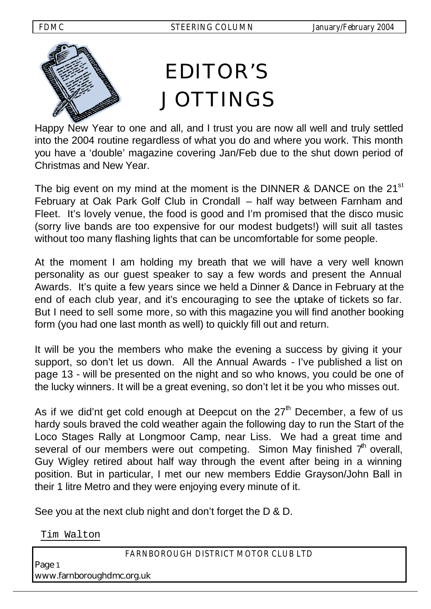

Happy New Year to one and all, and I trust you are now all well and truly settled into the 2004 routine regardless of what you do and where you work. This month you have a 'double' magazine covering Jan/Feb due to the shut down period of Christmas and New Year.

The big event on my mind at the moment is the DINNER & DANCE on the  $21^{st}$ February at Oak Park Golf Club in Crondall – half way between Farnham and Fleet. It's lovely venue, the food is good and I'm promised that the disco music (sorry live bands are too expensive for our modest budgets!) will suit all tastes without too many flashing lights that can be uncomfortable for some people.

At the moment I am holding my breath that we will have a very well known personality as our guest speaker to say a few words and present the Annual Awards. It's quite a few years since we held a Dinner & Dance in February at the end of each club year, and it's encouraging to see the uptake of tickets so far. But I need to sell some more, so with this magazine you will find another booking form (you had one last month as well) to quickly fill out and return.

It will be you the members who make the evening a success by giving it your support, so don't let us down. All the Annual Awards - I've published a list on page 13 - will be presented on the night and so who knows, you could be one of the lucky winners. It will be a great evening, so don't let it be you who misses out.

As if we did'nt get cold enough at Deepcut on the  $27<sup>th</sup>$  December, a few of us hardy souls braved the cold weather again the following day to run the Start of the Loco Stages Rally at Longmoor Camp, near Liss. We had a great time and several of our members were out competing. Simon May finished  $7<sup>th</sup>$  overall, Guy Wigley retired about half way through the event after being in a winning position. But in particular, I met our new members Eddie Grayson/John Ball in their 1 litre Metro and they were enjoying every minute of it.

See you at the next club night and don't forget the D & D.

Tim Walton

*FARNBOROUGH DISTRICT MOTOR CLUB LTD* 

Page <sup>1</sup> www.farnboroughdmc.org.uk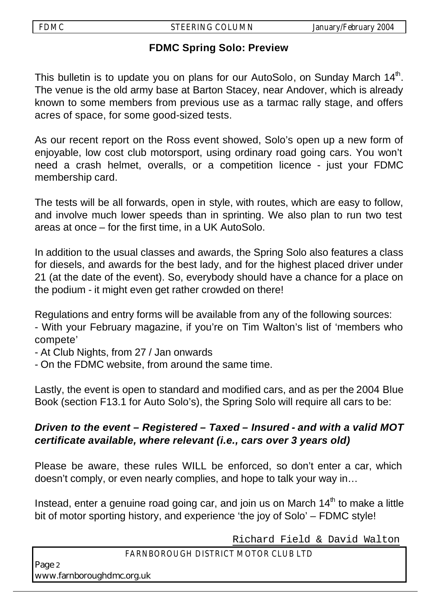## **FDMC Spring Solo: Preview**

This bulletin is to update you on plans for our AutoSolo, on Sunday March 14<sup>th</sup>. The venue is the old army base at Barton Stacey, near Andover, which is already known to some members from previous use as a tarmac rally stage, and offers acres of space, for some good-sized tests.

As our recent report on the Ross event showed, Solo's open up a new form of enjoyable, low cost club motorsport, using ordinary road going cars. You won't need a crash helmet, overalls, or a competition licence - just your FDMC membership card.

The tests will be all forwards, open in style, with routes, which are easy to follow, and involve much lower speeds than in sprinting. We also plan to run two test areas at once – for the first time, in a UK AutoSolo.

In addition to the usual classes and awards, the Spring Solo also features a class for diesels, and awards for the best lady, and for the highest placed driver under 21 (at the date of the event). So, everybody should have a chance for a place on the podium - it might even get rather crowded on there!

Regulations and entry forms will be available from any of the following sources:

- With your February magazine, if you're on Tim Walton's list of 'members who compete'

- At Club Nights, from 27 / Jan onwards
- On the FDMC website, from around the same time.

Lastly, the event is open to standard and modified cars, and as per the 2004 Blue Book (section F13.1 for Auto Solo's), the Spring Solo will require all cars to be:

## *Driven to the event – Registered – Taxed – Insured - and with a valid MOT certificate available, where relevant (i.e., cars over 3 years old)*

Please be aware, these rules WILL be enforced, so don't enter a car, which doesn't comply, or even nearly complies, and hope to talk your way in…

Instead, enter a genuine road going car, and join us on March  $14<sup>th</sup>$  to make a little bit of motor sporting history, and experience 'the joy of Solo' – FDMC style!

Richard Field & David Walton

## *FARNBOROUGH DISTRICT MOTOR CLUB LTD*

Page <sup>2</sup> www.farnboroughdmc.org.uk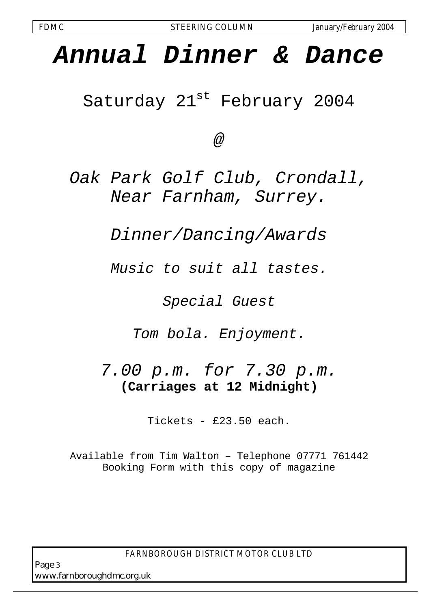## *Annual Dinner & Dance*

Saturday 21<sup>st</sup> February 2004

*@*

*Oak Park Golf Club, Crondall, Near Farnham, Surrey.*

*Dinner/Dancing/Awards*

*Music to suit all tastes.* 

*Special Guest*

*Tom bola. Enjoyment.*

*7.00 p.m. for 7.30 p.m.* **(Carriages at 12 Midnight)**

Tickets - £23.50 each.

Available from Tim Walton – Telephone 07771 761442 Booking Form with this copy of magazine

*FARNBOROUGH DISTRICT MOTOR CLUB LTD* 

Page <sup>3</sup> www.farnboroughdmc.org.uk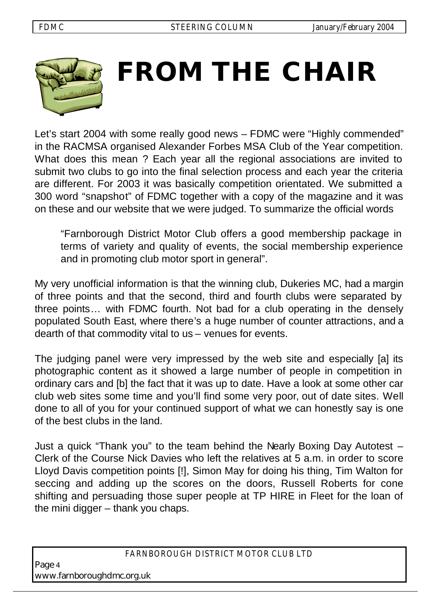

# **FROM THE CHAIR**

Let's start 2004 with some really good news – FDMC were "Highly commended" in the RACMSA organised Alexander Forbes MSA Club of the Year competition. What does this mean ? Each year all the regional associations are invited to submit two clubs to go into the final selection process and each year the criteria are different. For 2003 it was basically competition orientated. We submitted a 300 word "snapshot" of FDMC together with a copy of the magazine and it was on these and our website that we were judged. To summarize the official words

"Farnborough District Motor Club offers a good membership package in terms of variety and quality of events, the social membership experience and in promoting club motor sport in general".

My very unofficial information is that the winning club, Dukeries MC, had a margin of three points and that the second, third and fourth clubs were separated by three points… with FDMC fourth. Not bad for a club operating in the densely populated South East, where there's a huge number of counter attractions, and a dearth of that commodity vital to us – venues for events.

The judging panel were very impressed by the web site and especially [a] its photographic content as it showed a large number of people in competition in ordinary cars and [b] the fact that it was up to date. Have a look at some other car club web sites some time and you'll find some very poor, out of date sites. Well done to all of you for your continued support of what we can honestly say is one of the best clubs in the land.

Just a quick "Thank you" to the team behind the Nearly Boxing Day Autotest – Clerk of the Course Nick Davies who left the relatives at 5 a.m. in order to score Lloyd Davis competition points [!], Simon May for doing his thing, Tim Walton for seccing and adding up the scores on the doors, Russell Roberts for cone shifting and persuading those super people at TP HIRE in Fleet for the loan of the mini digger – thank you chaps.

Page <sup>4</sup> www.farnboroughdmc.org.uk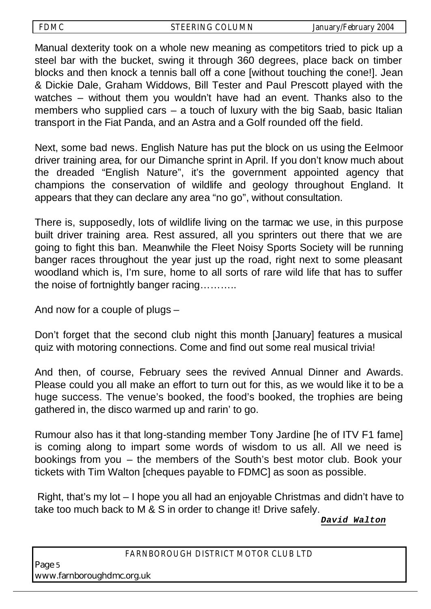Manual dexterity took on a whole new meaning as competitors tried to pick up a steel bar with the bucket, swing it through 360 degrees, place back on timber blocks and then knock a tennis ball off a cone [without touching the cone!]. Jean & Dickie Dale, Graham Widdows, Bill Tester and Paul Prescott played with the watches – without them you wouldn't have had an event. Thanks also to the members who supplied cars – a touch of luxury with the big Saab, basic Italian transport in the Fiat Panda, and an Astra and a Golf rounded off the field.

Next, some bad news. English Nature has put the block on us using the Eelmoor driver training area, for our Dimanche sprint in April. If you don't know much about the dreaded "English Nature", it's the government appointed agency that champions the conservation of wildlife and geology throughout England. It appears that they can declare any area "no go", without consultation.

There is, supposedly, lots of wildlife living on the tarmac we use, in this purpose built driver training area. Rest assured, all you sprinters out there that we are going to fight this ban. Meanwhile the Fleet Noisy Sports Society will be running banger races throughout the year just up the road, right next to some pleasant woodland which is, I'm sure, home to all sorts of rare wild life that has to suffer the noise of fortnightly banger racing………..

And now for a couple of plugs –

Don't forget that the second club night this month [January] features a musical quiz with motoring connections. Come and find out some real musical trivia!

And then, of course, February sees the revived Annual Dinner and Awards. Please could you all make an effort to turn out for this, as we would like it to be a huge success. The venue's booked, the food's booked, the trophies are being gathered in, the disco warmed up and rarin' to go.

Rumour also has it that long-standing member Tony Jardine [he of ITV F1 fame] is coming along to impart some words of wisdom to us all. All we need is bookings from you – the members of the South's best motor club. Book your tickets with Tim Walton [cheques payable to FDMC] as soon as possible.

 Right, that's my lot – I hope you all had an enjoyable Christmas and didn't have to take too much back to M & S in order to change it! Drive safely.

*David Walton*

#### *FARNBOROUGH DISTRICT MOTOR CLUB LTD*

Page <sup>5</sup> www.farnboroughdmc.org.uk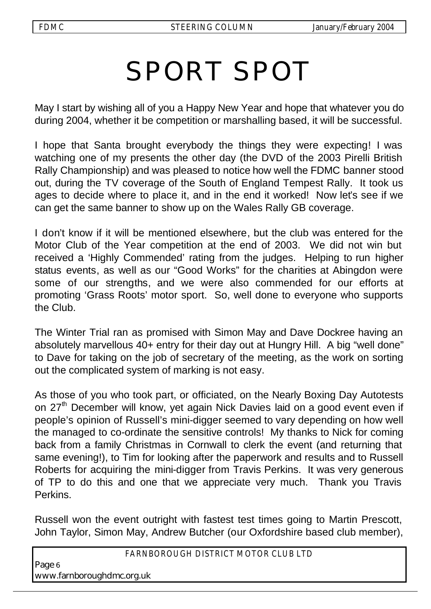## SPORT SPOT

May I start by wishing all of you a Happy New Year and hope that whatever you do during 2004, whether it be competition or marshalling based, it will be successful.

I hope that Santa brought everybody the things they were expecting! I was watching one of my presents the other day (the DVD of the 2003 Pirelli British Rally Championship) and was pleased to notice how well the FDMC banner stood out, during the TV coverage of the South of England Tempest Rally. It took us ages to decide where to place it, and in the end it worked! Now let's see if we can get the same banner to show up on the Wales Rally GB coverage.

I don't know if it will be mentioned elsewhere, but the club was entered for the Motor Club of the Year competition at the end of 2003. We did not win but received a 'Highly Commended' rating from the judges. Helping to run higher status events, as well as our "Good Works" for the charities at Abingdon were some of our strengths, and we were also commended for our efforts at promoting 'Grass Roots' motor sport. So, well done to everyone who supports the Club.

The Winter Trial ran as promised with Simon May and Dave Dockree having an absolutely marvellous 40+ entry for their day out at Hungry Hill. A big "well done" to Dave for taking on the job of secretary of the meeting, as the work on sorting out the complicated system of marking is not easy.

As those of you who took part, or officiated, on the Nearly Boxing Day Autotests on 27<sup>th</sup> December will know, yet again Nick Davies laid on a good event even if people's opinion of Russell's mini-digger seemed to vary depending on how well the managed to co-ordinate the sensitive controls! My thanks to Nick for coming back from a family Christmas in Cornwall to clerk the event (and returning that same evening!), to Tim for looking after the paperwork and results and to Russell Roberts for acquiring the mini-digger from Travis Perkins. It was very generous of TP to do this and one that we appreciate very much. Thank you Travis Perkins.

Russell won the event outright with fastest test times going to Martin Prescott, John Taylor, Simon May, Andrew Butcher (our Oxfordshire based club member),

*FARNBOROUGH DISTRICT MOTOR CLUB LTD* 

Page <sup>6</sup> www.farnboroughdmc.org.uk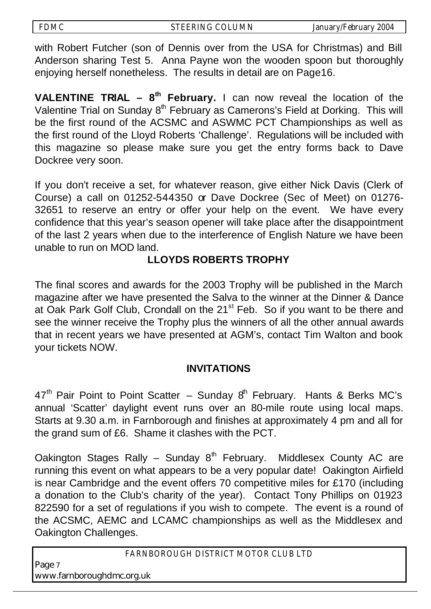with Robert Futcher (son of Dennis over from the USA for Christmas) and Bill Anderson sharing Test 5. Anna Payne won the wooden spoon but thoroughly enjoying herself nonetheless. The results in detail are on Page16.

**VALENTINE TRIAL – 8th February.** I can now reveal the location of the Valentine Trial on Sunday 8<sup>th</sup> February as Camerons's Field at Dorking. This will be the first round of the ACSMC and ASWMC PCT Championships as well as the first round of the Lloyd Roberts 'Challenge'. Regulations will be included with this magazine so please make sure you get the entry forms back to Dave Dockree very soon.

If you don't receive a set, for whatever reason, give either Nick Davis (Clerk of Course) a call on 01252-544350 or Dave Dockree (Sec of Meet) on 01276- 32651 to reserve an entry or offer your help on the event. We have every confidence that this year's season opener will take place after the disappointment of the last 2 years when due to the interference of English Nature we have been unable to run on MOD land.

## **LLOYDS ROBERTS TROPHY**

The final scores and awards for the 2003 Trophy will be published in the March magazine after we have presented the Salva to the winner at the Dinner & Dance at Oak Park Golf Club, Crondall on the 21<sup>st</sup> Feb. So if you want to be there and see the winner receive the Trophy plus the winners of all the other annual awards that in recent years we have presented at AGM's, contact Tim Walton and book your tickets NOW.

## **INVITATIONS**

 $47<sup>th</sup>$  Pair Point to Point Scatter – Sunday  $8<sup>th</sup>$  February. Hants & Berks MC's annual 'Scatter' daylight event runs over an 80-mile route using local maps. Starts at 9.30 a.m. in Farnborough and finishes at approximately 4 pm and all for the grand sum of £6. Shame it clashes with the PCT.

Oakington Stages Rally – Sunday  $8<sup>th</sup>$  February. Middlesex County AC are running this event on what appears to be a very popular date! Oakington Airfield is near Cambridge and the event offers 70 competitive miles for £170 (including a donation to the Club's charity of the year). Contact Tony Phillips on 01923 822590 for a set of regulations if you wish to compete. The event is a round of the ACSMC, AEMC and LCAMC championships as well as the Middlesex and Oakington Challenges.

*FARNBOROUGH DISTRICT MOTOR CLUB LTD* 

Page <sup>7</sup> www.farnboroughdmc.org.uk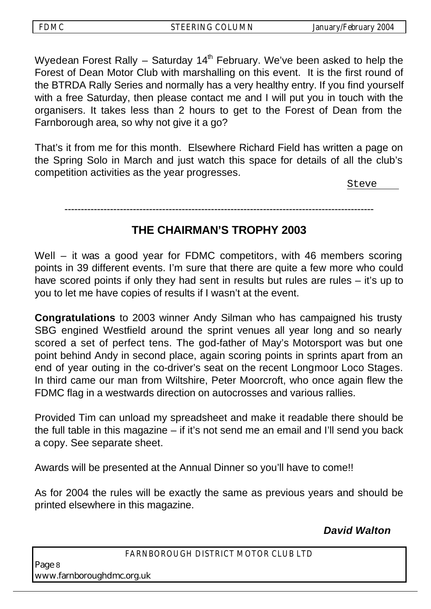Wyedean Forest Rally  $-$  Saturday 14<sup>th</sup> February. We've been asked to help the Forest of Dean Motor Club with marshalling on this event. It is the first round of the BTRDA Rally Series and normally has a very healthy entry. If you find yourself with a free Saturday, then please contact me and I will put you in touch with the organisers. It takes less than 2 hours to get to the Forest of Dean from the Farnborough area, so why not give it a go?

That's it from me for this month. Elsewhere Richard Field has written a page on the Spring Solo in March and just watch this space for details of all the club's competition activities as the year progresses.

Steve

#### -----------------------------------------------------------------------------------------------

## **THE CHAIRMAN'S TROPHY 2003**

Well – it was a good year for FDMC competitors, with 46 members scoring points in 39 different events. I'm sure that there are quite a few more who could have scored points if only they had sent in results but rules are rules – it's up to you to let me have copies of results if I wasn't at the event.

**Congratulations** to 2003 winner Andy Silman who has campaigned his trusty SBG engined Westfield around the sprint venues all year long and so nearly scored a set of perfect tens. The god-father of May's Motorsport was but one point behind Andy in second place, again scoring points in sprints apart from an end of year outing in the co-driver's seat on the recent Longmoor Loco Stages. In third came our man from Wiltshire, Peter Moorcroft, who once again flew the FDMC flag in a westwards direction on autocrosses and various rallies.

Provided Tim can unload my spreadsheet and make it readable there should be the full table in this magazine – if it's not send me an email and I'll send you back a copy. See separate sheet.

Awards will be presented at the Annual Dinner so you'll have to come!!

As for 2004 the rules will be exactly the same as previous years and should be printed elsewhere in this magazine.

 *David Walton*

Page <sup>8</sup> www.farnboroughdmc.org.uk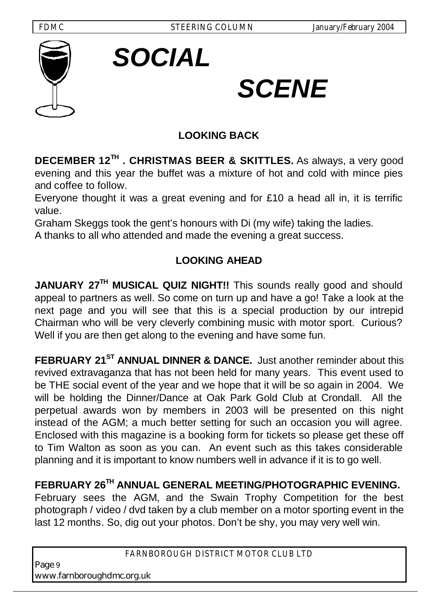*SOCIAL*





# *SCENE*

## **LOOKING BACK**

**DECEMBER 12TH . CHRISTMAS BEER & SKITTLES.** As always, a very good evening and this year the buffet was a mixture of hot and cold with mince pies and coffee to follow.

Everyone thought it was a great evening and for £10 a head all in, it is terrific value.

Graham Skeggs took the gent's honours with Di (my wife) taking the ladies.

A thanks to all who attended and made the evening a great success.

## **LOOKING AHEAD**

**JANUARY 27TH MUSICAL QUIZ NIGHT!!** This sounds really good and should appeal to partners as well. So come on turn up and have a go! Take a look at the next page and you will see that this is a special production by our intrepid Chairman who will be very cleverly combining music with motor sport. Curious? Well if you are then get along to the evening and have some fun.

**FEBRUARY 21ST ANNUAL DINNER & DANCE.** Just another reminder about this revived extravaganza that has not been held for many years. This event used to be THE social event of the year and we hope that it will be so again in 2004. We will be holding the Dinner/Dance at Oak Park Gold Club at Crondall. All the perpetual awards won by members in 2003 will be presented on this night instead of the AGM; a much better setting for such an occasion you will agree. Enclosed with this magazine is a booking form for tickets so please get these off to Tim Walton as soon as you can. An event such as this takes considerable planning and it is important to know numbers well in advance if it is to go well.

**FEBRUARY 26TH ANNUAL GENERAL MEETING/PHOTOGRAPHIC EVENING.** 

February sees the AGM, and the Swain Trophy Competition for the best photograph / video / dvd taken by a club member on a motor sporting event in the last 12 months. So, dig out your photos. Don't be shy, you may very well win.

#### *FARNBOROUGH DISTRICT MOTOR CLUB LTD*

Page <sup>9</sup> www.farnboroughdmc.org.uk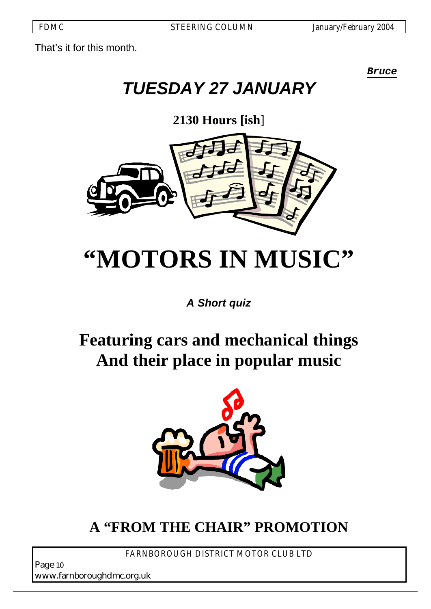That's it for this month.

*Bruce* 

## *TUESDAY 27 JANUARY*

**2130 Hours [ish**]



## **"MOTORS IN MUSIC"**

*A Short quiz*

## **Featuring cars and mechanical things And their place in popular music**



## **A "FROM THE CHAIR" PROMOTION**

*FARNBOROUGH DISTRICT MOTOR CLUB LTD* 

Page <sup>10</sup> www.farnboroughdmc.org.uk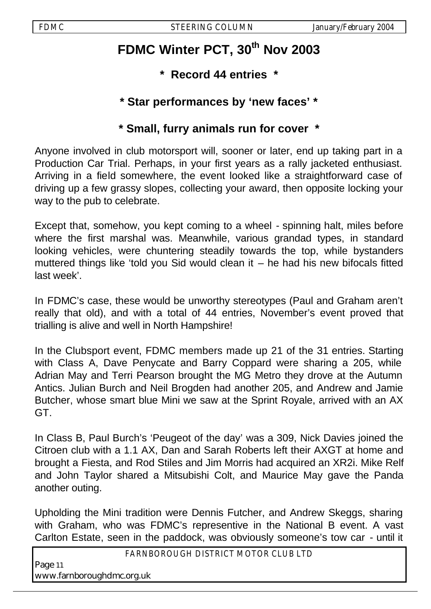## **FDMC Winter PCT, 30th Nov 2003**

- **\* Record 44 entries \***
- **\* Star performances by 'new faces' \***

## **\* Small, furry animals run for cover \***

Anyone involved in club motorsport will, sooner or later, end up taking part in a Production Car Trial. Perhaps, in your first years as a rally jacketed enthusiast. Arriving in a field somewhere, the event looked like a straightforward case of driving up a few grassy slopes, collecting your award, then opposite locking your way to the pub to celebrate.

Except that, somehow, you kept coming to a wheel - spinning halt, miles before where the first marshal was. Meanwhile, various grandad types, in standard looking vehicles, were chuntering steadily towards the top, while bystanders muttered things like 'told you Sid would clean it  $-$  he had his new bifocals fitted last week'.

In FDMC's case, these would be unworthy stereotypes (Paul and Graham aren't really that old), and with a total of 44 entries, November's event proved that trialling is alive and well in North Hampshire!

In the Clubsport event, FDMC members made up 21 of the 31 entries. Starting with Class A, Dave Penycate and Barry Coppard were sharing a 205, while Adrian May and Terri Pearson brought the MG Metro they drove at the Autumn Antics. Julian Burch and Neil Brogden had another 205, and Andrew and Jamie Butcher, whose smart blue Mini we saw at the Sprint Royale, arrived with an AX GT.

In Class B, Paul Burch's 'Peugeot of the day' was a 309, Nick Davies joined the Citroen club with a 1.1 AX, Dan and Sarah Roberts left their AXGT at home and brought a Fiesta, and Rod Stiles and Jim Morris had acquired an XR2i. Mike Relf and John Taylor shared a Mitsubishi Colt, and Maurice May gave the Panda another outing.

Upholding the Mini tradition were Dennis Futcher, and Andrew Skeggs, sharing with Graham, who was FDMC's representive in the National B event. A vast Carlton Estate, seen in the paddock, was obviously someone's tow car - until it

*FARNBOROUGH DISTRICT MOTOR CLUB LTD* 

Page <sup>11</sup> www.farnboroughdmc.org.uk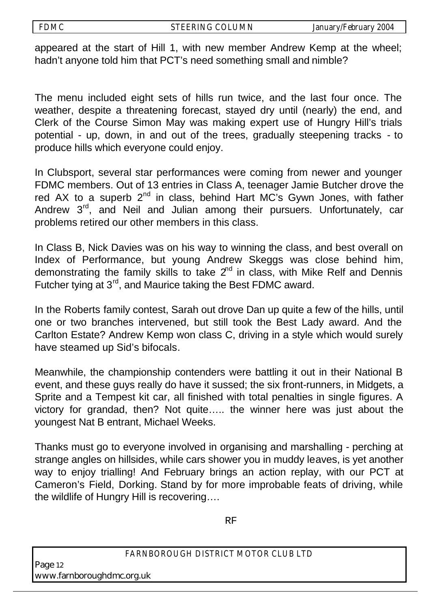appeared at the start of Hill 1, with new member Andrew Kemp at the wheel; hadn't anyone told him that PCT's need something small and nimble?

The menu included eight sets of hills run twice, and the last four once. The weather, despite a threatening forecast, stayed dry until (nearly) the end, and Clerk of the Course Simon May was making expert use of Hungry Hill's trials potential - up, down, in and out of the trees, gradually steepening tracks - to produce hills which everyone could enjoy.

In Clubsport, several star performances were coming from newer and younger FDMC members. Out of 13 entries in Class A, teenager Jamie Butcher drove the red AX to a superb 2<sup>nd</sup> in class, behind Hart MC's Gywn Jones, with father Andrew 3<sup>rd</sup>, and Neil and Julian among their pursuers. Unfortunately, car problems retired our other members in this class.

In Class B, Nick Davies was on his way to winning the class, and best overall on Index of Performance, but young Andrew Skeggs was close behind him, demonstrating the family skills to take  $2<sup>nd</sup>$  in class, with Mike Relf and Dennis Futcher tying at 3<sup>rd</sup>, and Maurice taking the Best FDMC award.

In the Roberts family contest, Sarah out drove Dan up quite a few of the hills, until one or two branches intervened, but still took the Best Lady award. And the Carlton Estate? Andrew Kemp won class C, driving in a style which would surely have steamed up Sid's bifocals.

Meanwhile, the championship contenders were battling it out in their National B event, and these guys really do have it sussed; the six front-runners, in Midgets, a Sprite and a Tempest kit car, all finished with total penalties in single figures. A victory for grandad, then? Not quite….. the winner here was just about the youngest Nat B entrant, Michael Weeks.

Thanks must go to everyone involved in organising and marshalling - perching at strange angles on hillsides, while cars shower you in muddy leaves, is yet another way to enjoy trialling! And February brings an action replay, with our PCT at Cameron's Field, Dorking. Stand by for more improbable feats of driving, while the wildlife of Hungry Hill is recovering….

RF

*FARNBOROUGH DISTRICT MOTOR CLUB LTD* 

Page <sup>12</sup> www.farnboroughdmc.org.uk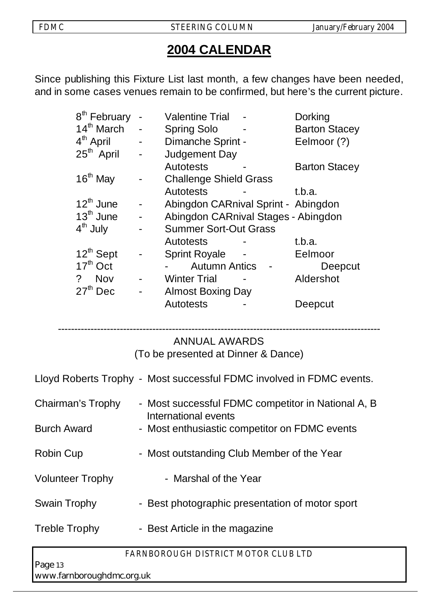## **2004 CALENDAR**

Since publishing this Fixture List last month, a few changes have been needed, and in some cases venues remain to be confirmed, but here's the current picture.

| 8 <sup>th</sup> February     | <b>Valentine Trial</b>              | <b>Dorking</b>       |
|------------------------------|-------------------------------------|----------------------|
| 14 <sup>th</sup> March       | <b>Spring Solo</b>                  | <b>Barton Stacey</b> |
| 4 <sup>th</sup> April        | Dimanche Sprint -                   | Eelmoor (?)          |
| 25 <sup>th</sup> April       | <b>Judgement Day</b>                |                      |
|                              | <b>Autotests</b>                    | <b>Barton Stacey</b> |
| $16th$ May                   | <b>Challenge Shield Grass</b>       |                      |
|                              | <b>Autotests</b>                    | t.b.a.               |
| $12^{th}$ June               | Abingdon CARnival Sprint - Abingdon |                      |
| $13th$ June                  | Abingdon CARnival Stages - Abingdon |                      |
| 4 <sup>th</sup> July         | <b>Summer Sort-Out Grass</b>        |                      |
|                              | <b>Autotests</b>                    | t.b.a.               |
| $12^{th}$ Sept               | <b>Sprint Royale</b>                | Eelmoor              |
| $17th$ Oct                   | <b>Autumn Antics</b>                | Deepcut              |
| $\overline{?}$<br><b>Nov</b> | <b>Winter Trial</b>                 | Aldershot            |
| $27th$ Dec                   | <b>Almost Boxing Day</b>            |                      |
|                              | <b>Autotests</b>                    | Deepcut              |

#### --------------------------------------------------------------------------------------------------- ANNUAL AWARDS

(To be presented at Dinner & Dance)

Lloyd Roberts Trophy - Most successful FDMC involved in FDMC events.

| Chairman's Trophy  | - Most successful FDMC competitor in National A, B |
|--------------------|----------------------------------------------------|
|                    | International events                               |
| <b>Burch Award</b> | - Most enthusiastic competitor on FDMC events      |

- 
- Robin Cup Most outstanding Club Member of the Year
- Volunteer Trophy Marshal of the Year
- Swain Trophy Best photographic presentation of motor sport
- Treble Trophy Best Article in the magazine

*FARNBOROUGH DISTRICT MOTOR CLUB LTD* 

Page <sup>13</sup> www.farnboroughdmc.org.uk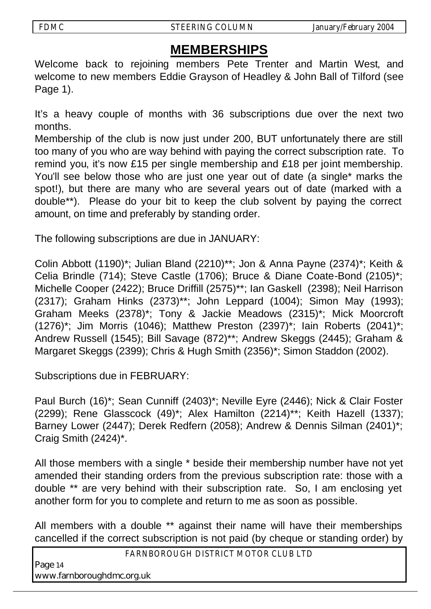## **MEMBERSHIPS**

Welcome back to rejoining members Pete Trenter and Martin West, and welcome to new members Eddie Grayson of Headley & John Ball of Tilford (see Page 1).

It's a heavy couple of months with 36 subscriptions due over the next two months.

Membership of the club is now just under 200, BUT unfortunately there are still too many of you who are way behind with paying the correct subscription rate. To remind you, it's now £15 per single membership and £18 per joint membership. You'll see below those who are just one year out of date (a single\* marks the spot!), but there are many who are several years out of date (marked with a double\*\*). Please do your bit to keep the club solvent by paying the correct amount, on time and preferably by standing order.

The following subscriptions are due in JANUARY:

Colin Abbott (1190)\*; Julian Bland (2210)\*\*; Jon & Anna Payne (2374)\*; Keith & Celia Brindle (714); Steve Castle (1706); Bruce & Diane Coate-Bond (2105)\*; Michelle Cooper (2422); Bruce Driffill (2575)\*\*; Ian Gaskell (2398); Neil Harrison (2317); Graham Hinks (2373)\*\*; John Leppard (1004); Simon May (1993); Graham Meeks (2378)\*; Tony & Jackie Meadows (2315)\*; Mick Moorcroft (1276)\*; Jim Morris (1046); Matthew Preston (2397)\*; Iain Roberts (2041)\*; Andrew Russell (1545); Bill Savage (872)\*\*; Andrew Skeggs (2445); Graham & Margaret Skeggs (2399); Chris & Hugh Smith (2356)\*; Simon Staddon (2002).

Subscriptions due in FEBRUARY:

Paul Burch (16)\*; Sean Cunniff (2403)\*; Neville Eyre (2446); Nick & Clair Foster (2299); Rene Glasscock (49)\*; Alex Hamilton (2214)\*\*; Keith Hazell (1337); Barney Lower (2447); Derek Redfern (2058); Andrew & Dennis Silman (2401)\*; Craig Smith (2424)\*.

All those members with a single \* beside their membership number have not yet amended their standing orders from the previous subscription rate: those with a double \*\* are very behind with their subscription rate. So, I am enclosing yet another form for you to complete and return to me as soon as possible.

All members with a double \*\* against their name will have their memberships cancelled if the correct subscription is not paid (by cheque or standing order) by

*FARNBOROUGH DISTRICT MOTOR CLUB LTD* 

Page <sup>14</sup> www.farnboroughdmc.org.uk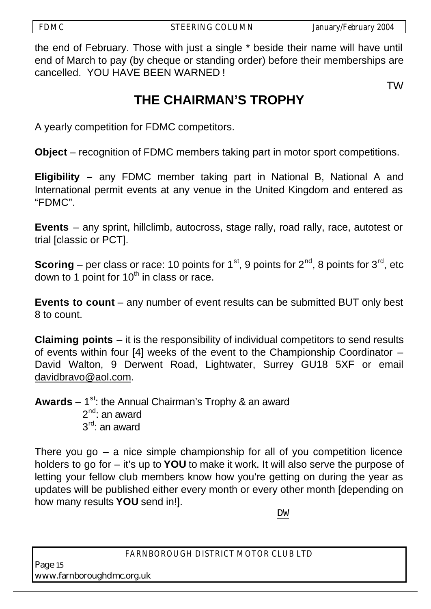the end of February. Those with just a single \* beside their name will have until end of March to pay (by cheque or standing order) before their memberships are cancelled. YOU HAVE BEEN WARNED !

TW

## **THE CHAIRMAN'S TROPHY**

A yearly competition for FDMC competitors.

**Object** – recognition of FDMC members taking part in motor sport competitions.

**Eligibility** *–* any FDMC member taking part in National B, National A and International permit events at any venue in the United Kingdom and entered as "FDMC".

**Events** – any sprint, hillclimb, autocross, stage rally, road rally, race, autotest or trial [classic or PCT].

**Scoring** – per class or race: 10 points for  $1^{st}$ , 9 points for  $2^{nd}$ , 8 points for  $3^{rd}$ , etc down to 1 point for  $10<sup>th</sup>$  in class or race.

**Events to count** – any number of event results can be submitted BUT only best 8 to count.

**Claiming points** – it is the responsibility of individual competitors to send results of events within four [4] weeks of the event to the Championship Coordinator – David Walton, 9 Derwent Road, Lightwater, Surrey GU18 5XF or email davidbravo@aol.com.

**Awards** – 1<sup>st</sup>: the Annual Chairman's Trophy & an award  $2^{nd}$ : an award  $3<sup>rd</sup>$ : an award

There you go  $-$  a nice simple championship for all of you competition licence holders to go for – it's up to **YOU** to make it work. It will also serve the purpose of letting your fellow club members know how you're getting on during the year as updates will be published either every month or every other month [depending on how many results **YOU** send in!].

DW

*FARNBOROUGH DISTRICT MOTOR CLUB LTD* 

Page <sup>15</sup> www.farnboroughdmc.org.uk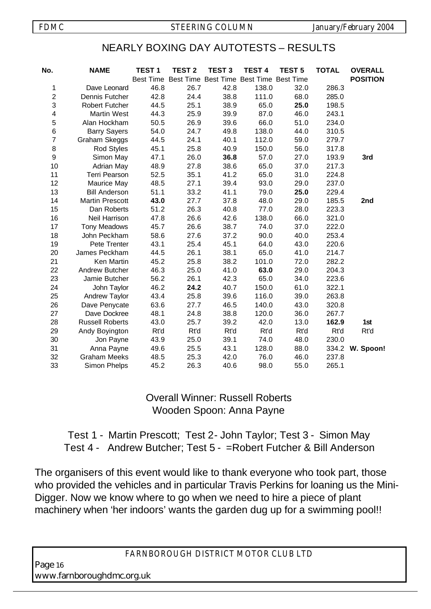## NEARLY BOXING DAY AUTOTESTS – RESULTS

| No.            | <b>NAME</b>            | <b>TEST1</b>     | <b>TEST 2</b> | <b>TEST 3</b> | <b>TEST 4</b>                           | <b>TEST 5</b> | <b>TOTAL</b> | <b>OVERALL</b>  |
|----------------|------------------------|------------------|---------------|---------------|-----------------------------------------|---------------|--------------|-----------------|
|                |                        | <b>Best Time</b> |               |               | Best Time Best Time Best Time Best Time |               |              | <b>POSITION</b> |
| 1              | Dave Leonard           | 46.8             | 26.7          | 42.8          | 138.0                                   | 32.0          | 286.3        |                 |
| $\overline{c}$ | Dennis Futcher         | 42.8             | 24.4          | 38.8          | 111.0                                   | 68.0          | 285.0        |                 |
| 3              | <b>Robert Futcher</b>  | 44.5             | 25.1          | 38.9          | 65.0                                    | 25.0          | 198.5        |                 |
| 4              | <b>Martin West</b>     | 44.3             | 25.9          | 39.9          | 87.0                                    | 46.0          | 243.1        |                 |
| 5              | Alan Hockham           | 50.5             | 26.9          | 39.6          | 66.0                                    | 51.0          | 234.0        |                 |
| 6              | <b>Barry Sayers</b>    | 54.0             | 24.7          | 49.8          | 138.0                                   | 44.0          | 310.5        |                 |
| $\overline{7}$ | Graham Skeggs          | 44.5             | 24.1          | 40.1          | 112.0                                   | 59.0          | 279.7        |                 |
| 8              | Rod Styles             | 45.1             | 25.8          | 40.9          | 150.0                                   | 56.0          | 317.8        |                 |
| 9              | Simon May              | 47.1             | 26.0          | 36.8          | 57.0                                    | 27.0          | 193.9        | 3rd             |
| 10             | <b>Adrian May</b>      | 48.9             | 27.8          | 38.6          | 65.0                                    | 37.0          | 217.3        |                 |
| 11             | <b>Terri Pearson</b>   | 52.5             | 35.1          | 41.2          | 65.0                                    | 31.0          | 224.8        |                 |
| 12             | Maurice May            | 48.5             | 27.1          | 39.4          | 93.0                                    | 29.0          | 237.0        |                 |
| 13             | <b>Bill Anderson</b>   | 51.1             | 33.2          | 41.1          | 79.0                                    | 25.0          | 229.4        |                 |
| 14             | <b>Martin Prescott</b> | 43.0             | 27.7          | 37.8          | 48.0                                    | 29.0          | 185.5        | 2nd             |
| 15             | Dan Roberts            | 51.2             | 26.3          | 40.8          | 77.0                                    | 28.0          | 223.3        |                 |
| 16             | Neil Harrison          | 47.8             | 26.6          | 42.6          | 138.0                                   | 66.0          | 321.0        |                 |
| 17             | <b>Tony Meadows</b>    | 45.7             | 26.6          | 38.7          | 74.0                                    | 37.0          | 222.0        |                 |
| 18             | John Peckham           | 58.6             | 27.6          | 37.2          | 90.0                                    | 40.0          | 253.4        |                 |
| 19             | Pete Trenter           | 43.1             | 25.4          | 45.1          | 64.0                                    | 43.0          | 220.6        |                 |
| 20             | James Peckham          | 44.5             | 26.1          | 38.1          | 65.0                                    | 41.0          | 214.7        |                 |
| 21             | Ken Martin             | 45.2             | 25.8          | 38.2          | 101.0                                   | 72.0          | 282.2        |                 |
| 22             | Andrew Butcher         | 46.3             | 25.0          | 41.0          | 63.0                                    | 29.0          | 204.3        |                 |
| 23             | Jamie Butcher          | 56.2             | 26.1          | 42.3          | 65.0                                    | 34.0          | 223.6        |                 |
| 24             | John Taylor            | 46.2             | 24.2          | 40.7          | 150.0                                   | 61.0          | 322.1        |                 |
| 25             | Andrew Taylor          | 43.4             | 25.8          | 39.6          | 116.0                                   | 39.0          | 263.8        |                 |
| 26             | Dave Penycate          | 63.6             | 27.7          | 46.5          | 140.0                                   | 43.0          | 320.8        |                 |
| 27             | Dave Dockree           | 48.1             | 24.8          | 38.8          | 120.0                                   | 36.0          | 267.7        |                 |
| 28             | <b>Russell Roberts</b> | 43.0             | 25.7          | 39.2          | 42.0                                    | 13.0          | 162.9        | 1st             |
| 29             | Andy Boyington         | Rt'd             | Rt'd          | Rt'd          | Rt'd                                    | Rt'd          | Rt'd         | Rt'd            |
| 30             | Jon Payne              | 43.9             | 25.0          | 39.1          | 74.0                                    | 48.0          | 230.0        |                 |
| 31             | Anna Payne             | 49.6             | 25.5          | 43.1          | 128.0                                   | 88.0          |              | 334.2 W. Spoon! |
| 32             | <b>Graham Meeks</b>    | 48.5             | 25.3          | 42.0          | 76.0                                    | 46.0          | 237.8        |                 |
| 33             | Simon Phelps           | 45.2             | 26.3          | 40.6          | 98.0                                    | 55.0          | 265.1        |                 |

## Overall Winner: Russell Roberts Wooden Spoon: Anna Payne

## Test 1 - Martin Prescott; Test 2- John Taylor; Test 3 - Simon May Test 4 - Andrew Butcher; Test 5 - =Robert Futcher & Bill Anderson

The organisers of this event would like to thank everyone who took part, those who provided the vehicles and in particular Travis Perkins for loaning us the Mini-Digger. Now we know where to go when we need to hire a piece of plant machinery when 'her indoors' wants the garden dug up for a swimming pool!!

*FARNBOROUGH DISTRICT MOTOR CLUB LTD* 

Page <sup>16</sup> www.farnboroughdmc.org.uk